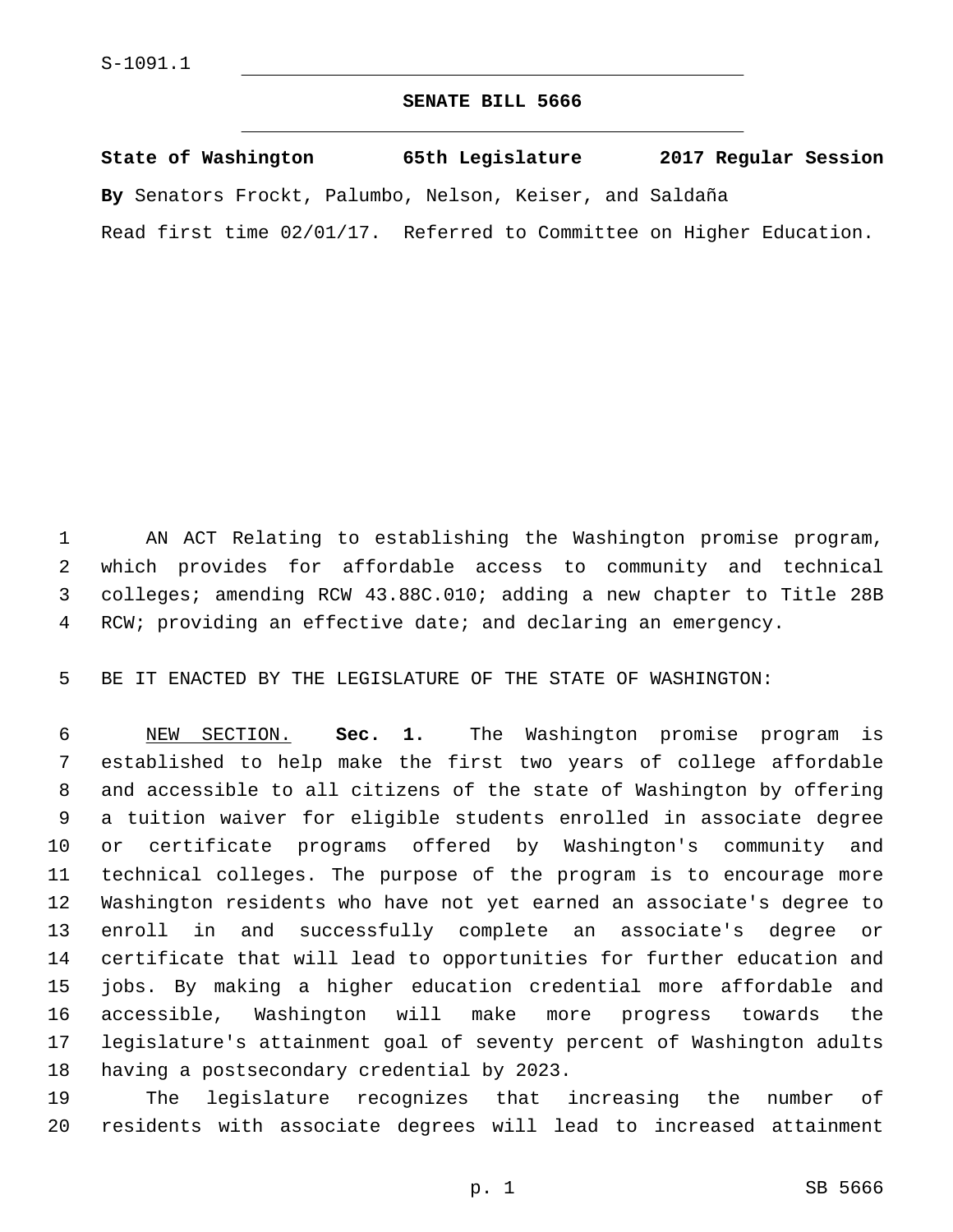## **SENATE BILL 5666**

|  |  | State of Washington |  | 65th Legislature |  |                                                                      |  | 2017 Regular Session |  |  |
|--|--|---------------------|--|------------------|--|----------------------------------------------------------------------|--|----------------------|--|--|
|  |  |                     |  |                  |  | By Senators Frockt, Palumbo, Nelson, Keiser, and Saldaña             |  |                      |  |  |
|  |  |                     |  |                  |  | Read first time 02/01/17. Referred to Committee on Higher Education. |  |                      |  |  |

 AN ACT Relating to establishing the Washington promise program, which provides for affordable access to community and technical colleges; amending RCW 43.88C.010; adding a new chapter to Title 28B RCW; providing an effective date; and declaring an emergency.

BE IT ENACTED BY THE LEGISLATURE OF THE STATE OF WASHINGTON:

 NEW SECTION. **Sec. 1.** The Washington promise program is established to help make the first two years of college affordable and accessible to all citizens of the state of Washington by offering a tuition waiver for eligible students enrolled in associate degree or certificate programs offered by Washington's community and technical colleges. The purpose of the program is to encourage more Washington residents who have not yet earned an associate's degree to enroll in and successfully complete an associate's degree or certificate that will lead to opportunities for further education and jobs. By making a higher education credential more affordable and accessible, Washington will make more progress towards the legislature's attainment goal of seventy percent of Washington adults having a postsecondary credential by 2023.

 The legislature recognizes that increasing the number of residents with associate degrees will lead to increased attainment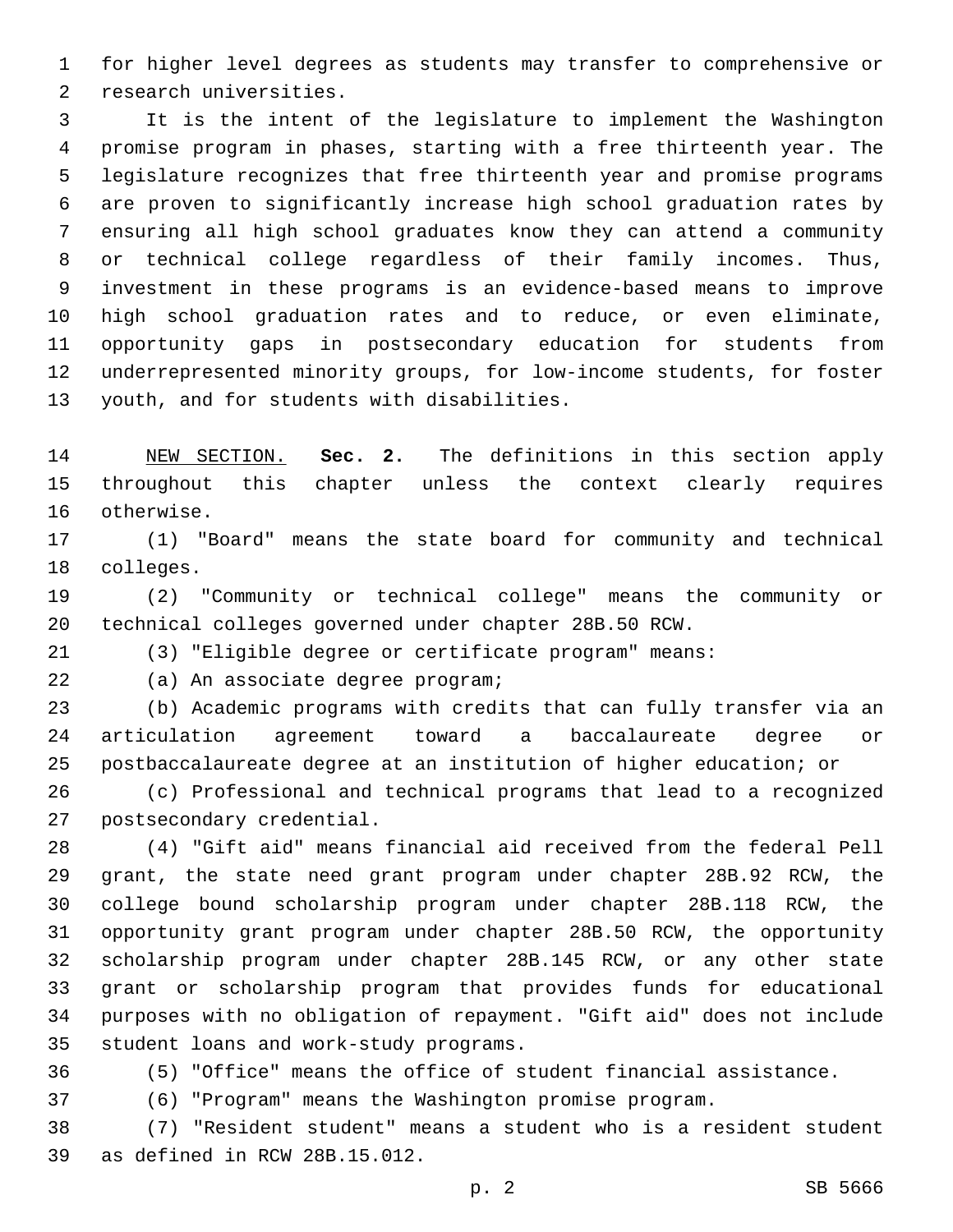for higher level degrees as students may transfer to comprehensive or 2 research universities.

 It is the intent of the legislature to implement the Washington promise program in phases, starting with a free thirteenth year. The legislature recognizes that free thirteenth year and promise programs are proven to significantly increase high school graduation rates by ensuring all high school graduates know they can attend a community or technical college regardless of their family incomes. Thus, investment in these programs is an evidence-based means to improve high school graduation rates and to reduce, or even eliminate, opportunity gaps in postsecondary education for students from underrepresented minority groups, for low-income students, for foster 13 youth, and for students with disabilities.

 NEW SECTION. **Sec. 2.** The definitions in this section apply throughout this chapter unless the context clearly requires otherwise.

 (1) "Board" means the state board for community and technical 18 colleges.

 (2) "Community or technical college" means the community or technical colleges governed under chapter 28B.50 RCW.

(3) "Eligible degree or certificate program" means:

22 (a) An associate degree program;

 (b) Academic programs with credits that can fully transfer via an articulation agreement toward a baccalaureate degree or postbaccalaureate degree at an institution of higher education; or

 (c) Professional and technical programs that lead to a recognized 27 postsecondary credential.

 (4) "Gift aid" means financial aid received from the federal Pell grant, the state need grant program under chapter 28B.92 RCW, the college bound scholarship program under chapter 28B.118 RCW, the opportunity grant program under chapter 28B.50 RCW, the opportunity scholarship program under chapter 28B.145 RCW, or any other state grant or scholarship program that provides funds for educational purposes with no obligation of repayment. "Gift aid" does not include 35 student loans and work-study programs.

(5) "Office" means the office of student financial assistance.

(6) "Program" means the Washington promise program.

 (7) "Resident student" means a student who is a resident student 39 as defined in RCW 28B.15.012.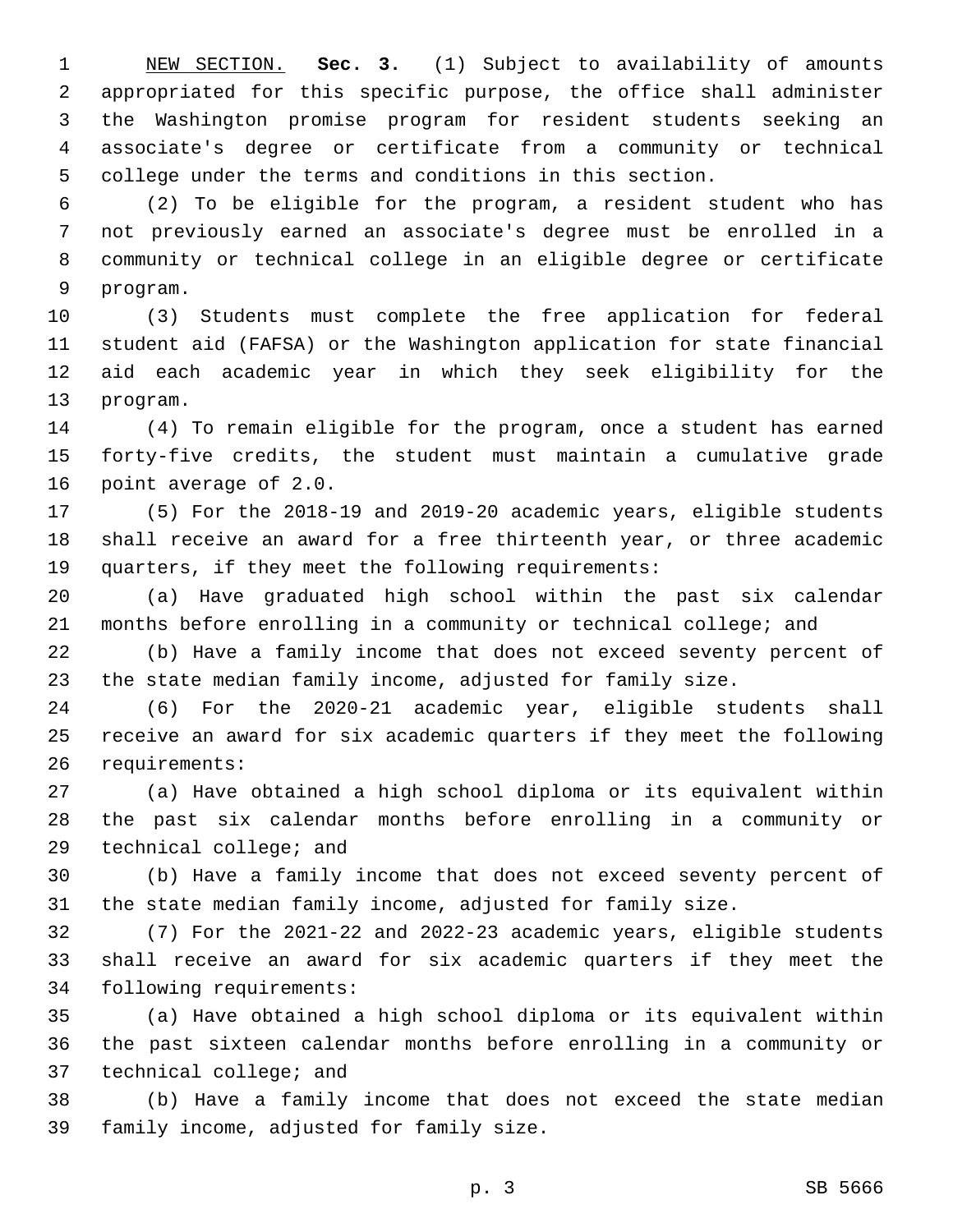NEW SECTION. **Sec. 3.** (1) Subject to availability of amounts appropriated for this specific purpose, the office shall administer the Washington promise program for resident students seeking an associate's degree or certificate from a community or technical college under the terms and conditions in this section.

 (2) To be eligible for the program, a resident student who has not previously earned an associate's degree must be enrolled in a community or technical college in an eligible degree or certificate 9 program.

 (3) Students must complete the free application for federal student aid (FAFSA) or the Washington application for state financial aid each academic year in which they seek eligibility for the 13 program.

 (4) To remain eligible for the program, once a student has earned forty-five credits, the student must maintain a cumulative grade 16 point average of 2.0.

 (5) For the 2018-19 and 2019-20 academic years, eligible students shall receive an award for a free thirteenth year, or three academic quarters, if they meet the following requirements:

 (a) Have graduated high school within the past six calendar months before enrolling in a community or technical college; and

 (b) Have a family income that does not exceed seventy percent of the state median family income, adjusted for family size.

 (6) For the 2020-21 academic year, eligible students shall receive an award for six academic quarters if they meet the following 26 requirements:

 (a) Have obtained a high school diploma or its equivalent within the past six calendar months before enrolling in a community or 29 technical college; and

 (b) Have a family income that does not exceed seventy percent of the state median family income, adjusted for family size.

 (7) For the 2021-22 and 2022-23 academic years, eligible students shall receive an award for six academic quarters if they meet the 34 following requirements:

 (a) Have obtained a high school diploma or its equivalent within the past sixteen calendar months before enrolling in a community or 37 technical college; and

 (b) Have a family income that does not exceed the state median 39 family income, adjusted for family size.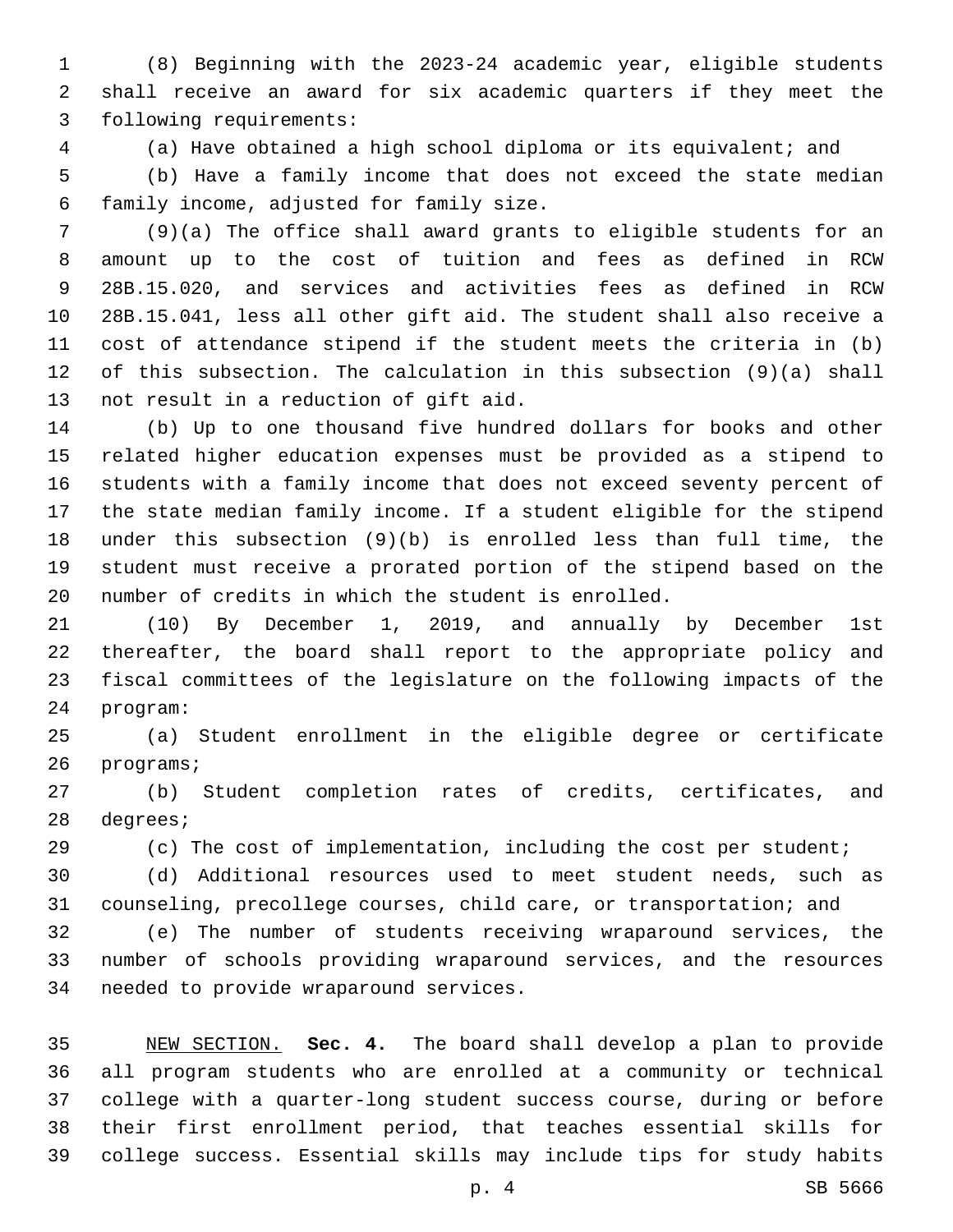(8) Beginning with the 2023-24 academic year, eligible students shall receive an award for six academic quarters if they meet the 3 following requirements:

(a) Have obtained a high school diploma or its equivalent; and

 (b) Have a family income that does not exceed the state median family income, adjusted for family size.6

 (9)(a) The office shall award grants to eligible students for an amount up to the cost of tuition and fees as defined in RCW 28B.15.020, and services and activities fees as defined in RCW 28B.15.041, less all other gift aid. The student shall also receive a cost of attendance stipend if the student meets the criteria in (b) of this subsection. The calculation in this subsection (9)(a) shall 13 not result in a reduction of gift aid.

 (b) Up to one thousand five hundred dollars for books and other related higher education expenses must be provided as a stipend to students with a family income that does not exceed seventy percent of the state median family income. If a student eligible for the stipend under this subsection (9)(b) is enrolled less than full time, the student must receive a prorated portion of the stipend based on the number of credits in which the student is enrolled.

 (10) By December 1, 2019, and annually by December 1st thereafter, the board shall report to the appropriate policy and fiscal committees of the legislature on the following impacts of the 24 program:

 (a) Student enrollment in the eligible degree or certificate 26 programs;

 (b) Student completion rates of credits, certificates, and 28 degrees;

(c) The cost of implementation, including the cost per student;

 (d) Additional resources used to meet student needs, such as counseling, precollege courses, child care, or transportation; and

 (e) The number of students receiving wraparound services, the number of schools providing wraparound services, and the resources 34 needed to provide wraparound services.

 NEW SECTION. **Sec. 4.** The board shall develop a plan to provide all program students who are enrolled at a community or technical college with a quarter-long student success course, during or before their first enrollment period, that teaches essential skills for college success. Essential skills may include tips for study habits

p. 4 SB 5666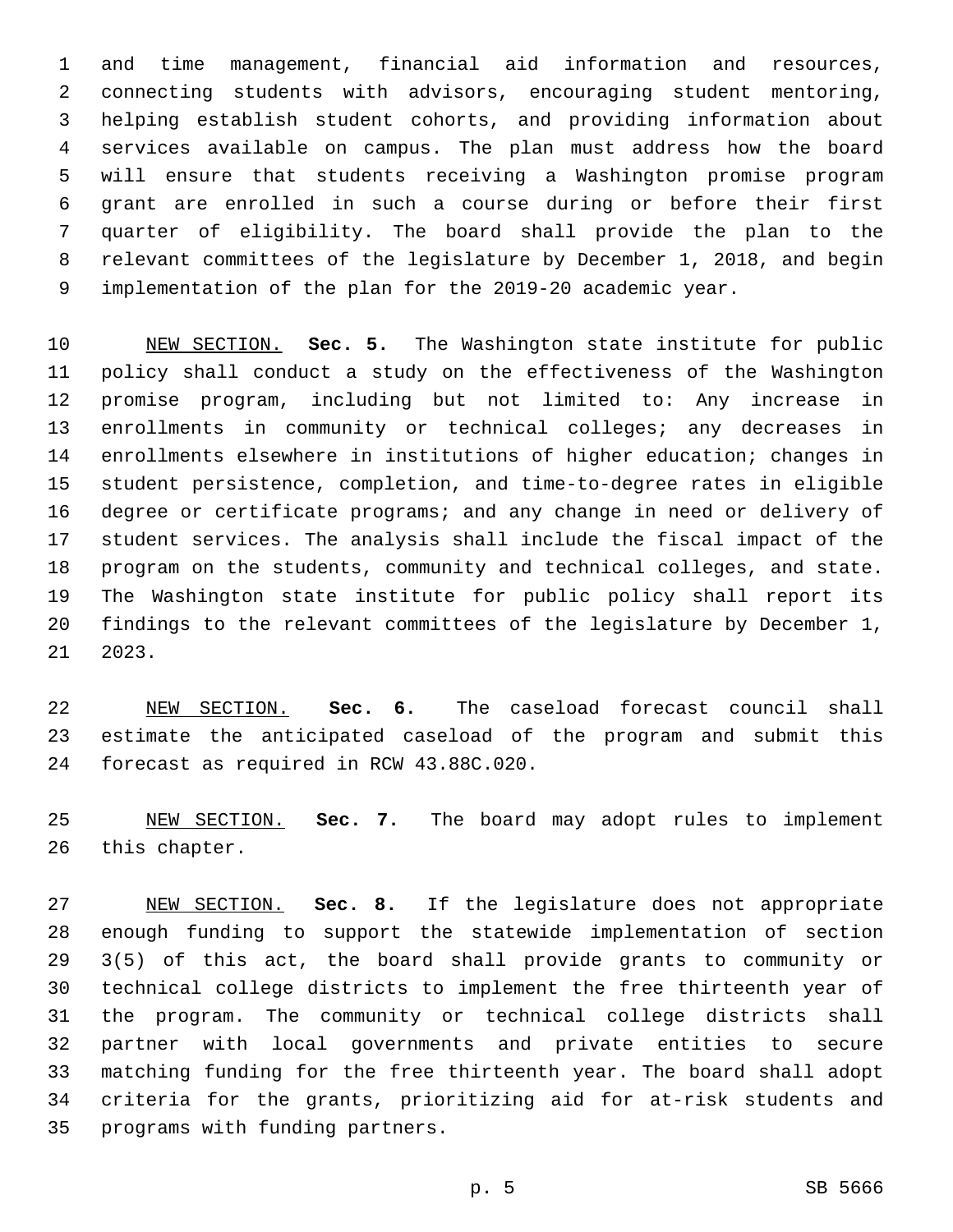and time management, financial aid information and resources, connecting students with advisors, encouraging student mentoring, helping establish student cohorts, and providing information about services available on campus. The plan must address how the board will ensure that students receiving a Washington promise program grant are enrolled in such a course during or before their first quarter of eligibility. The board shall provide the plan to the relevant committees of the legislature by December 1, 2018, and begin implementation of the plan for the 2019-20 academic year.

 NEW SECTION. **Sec. 5.** The Washington state institute for public policy shall conduct a study on the effectiveness of the Washington promise program, including but not limited to: Any increase in enrollments in community or technical colleges; any decreases in enrollments elsewhere in institutions of higher education; changes in student persistence, completion, and time-to-degree rates in eligible degree or certificate programs; and any change in need or delivery of student services. The analysis shall include the fiscal impact of the program on the students, community and technical colleges, and state. The Washington state institute for public policy shall report its findings to the relevant committees of the legislature by December 1, 2023.

 NEW SECTION. **Sec. 6.** The caseload forecast council shall estimate the anticipated caseload of the program and submit this forecast as required in RCW 43.88C.020.

 NEW SECTION. **Sec. 7.** The board may adopt rules to implement this chapter.

 NEW SECTION. **Sec. 8.** If the legislature does not appropriate enough funding to support the statewide implementation of section 3(5) of this act, the board shall provide grants to community or technical college districts to implement the free thirteenth year of the program. The community or technical college districts shall partner with local governments and private entities to secure matching funding for the free thirteenth year. The board shall adopt criteria for the grants, prioritizing aid for at-risk students and programs with funding partners.

p. 5 SB 5666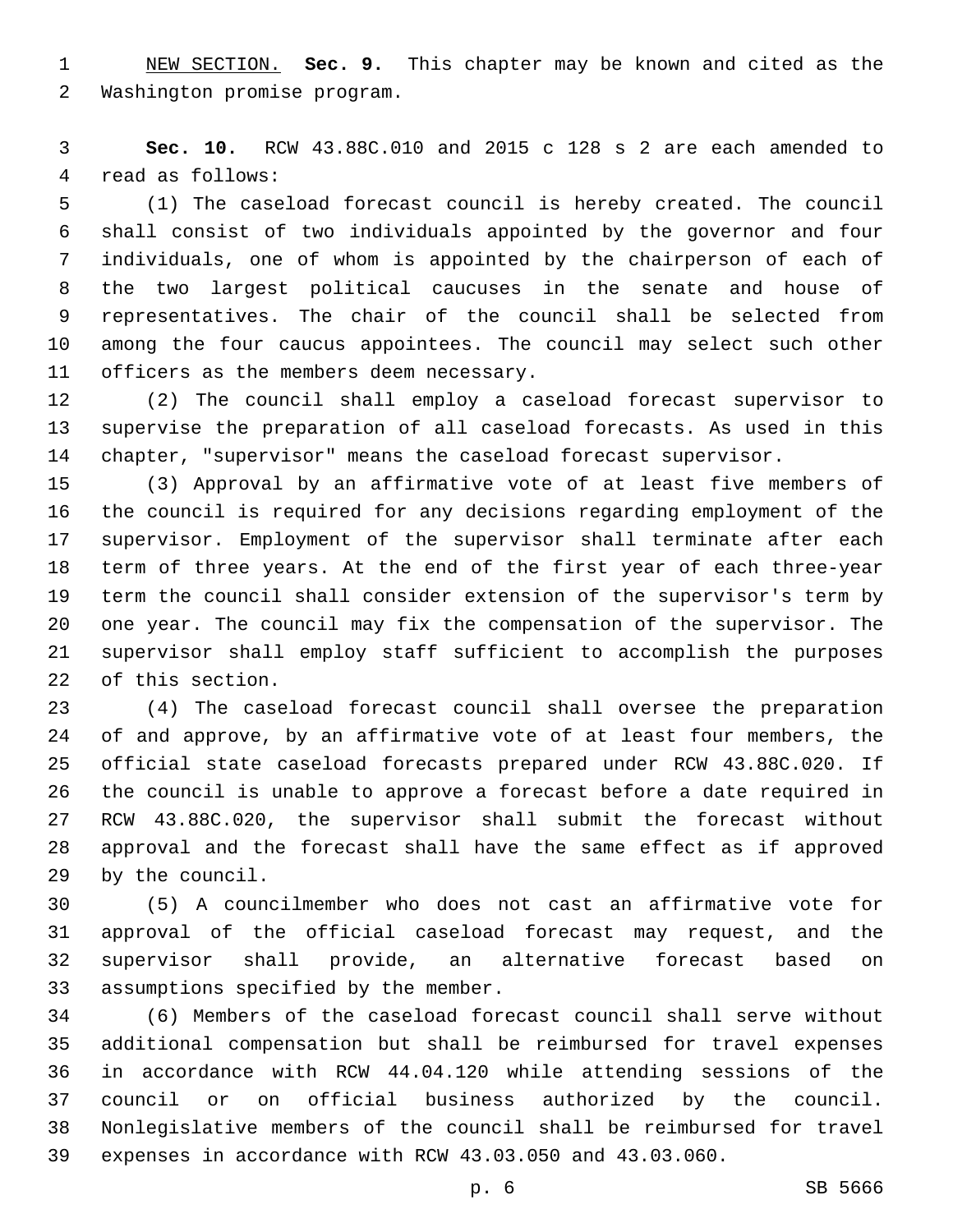NEW SECTION. **Sec. 9.** This chapter may be known and cited as the Washington promise program.

 **Sec. 10.** RCW 43.88C.010 and 2015 c 128 s 2 are each amended to 4 read as follows:

 (1) The caseload forecast council is hereby created. The council shall consist of two individuals appointed by the governor and four individuals, one of whom is appointed by the chairperson of each of the two largest political caucuses in the senate and house of representatives. The chair of the council shall be selected from among the four caucus appointees. The council may select such other 11 officers as the members deem necessary.

 (2) The council shall employ a caseload forecast supervisor to supervise the preparation of all caseload forecasts. As used in this chapter, "supervisor" means the caseload forecast supervisor.

 (3) Approval by an affirmative vote of at least five members of the council is required for any decisions regarding employment of the supervisor. Employment of the supervisor shall terminate after each term of three years. At the end of the first year of each three-year term the council shall consider extension of the supervisor's term by one year. The council may fix the compensation of the supervisor. The supervisor shall employ staff sufficient to accomplish the purposes 22 of this section.

 (4) The caseload forecast council shall oversee the preparation of and approve, by an affirmative vote of at least four members, the official state caseload forecasts prepared under RCW 43.88C.020. If the council is unable to approve a forecast before a date required in RCW 43.88C.020, the supervisor shall submit the forecast without approval and the forecast shall have the same effect as if approved by the council.29

 (5) A councilmember who does not cast an affirmative vote for approval of the official caseload forecast may request, and the supervisor shall provide, an alternative forecast based on 33 assumptions specified by the member.

 (6) Members of the caseload forecast council shall serve without additional compensation but shall be reimbursed for travel expenses in accordance with RCW 44.04.120 while attending sessions of the council or on official business authorized by the council. Nonlegislative members of the council shall be reimbursed for travel expenses in accordance with RCW 43.03.050 and 43.03.060.